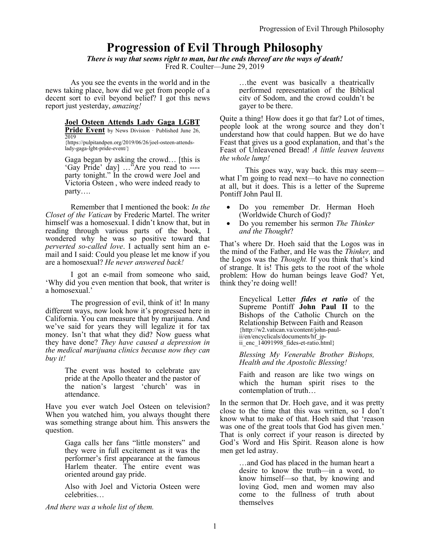# **Progression of Evil Through Philosophy**

*There is way that seems right to man, but the ends thereof are the ways of death!* Fred R. Coulter—June 29, 2019

As you see the events in the world and in the news taking place, how did we get from people of a decent sort to evil beyond belief? I got this news report just yesterday, *amazing!*

## **Joel Osteen Attends Lady Gaga LGBT**

**Pride Event** by News Division · Published June 26, 2019 {https://pulpitandpen.org/2019/06/26/joel-osteen-attendslady-gaga-lgbt-pride-event/}

Gaga began by asking the crowd… [this is 'Gay Pride' day] …"Are you read to --- party tonight." In the crowd were Joel and Victoria Osteen , who were indeed ready to party….

Remember that I mentioned the book: *In the Closet of the Vatican* by Frederic Martel. The writer himself was a homosexual. I didn't know that, but in reading through various parts of the book, I wondered why he was so positive toward that *perverted so-called love*. I actually sent him an email and I said: Could you please let me know if you are a homosexual? *He never answered back!*

I got an e-mail from someone who said, 'Why did you even mention that book, that writer is a homosexual.'

The progression of evil, think of it! In many different ways, now look how it's progressed here in California. You can measure that by marijuana. And we've said for years they will legalize it for tax money. Isn't that what they did? Now guess what they have done? *They have caused a depression in the medical marijuana clinics because now they can buy it!*

> The event was hosted to celebrate gay pride at the Apollo theater and the pastor of the nation's largest 'church' was in attendance.

Have you ever watch Joel Osteen on television? When you watched him, you always thought there was something strange about him. This answers the question.

> Gaga calls her fans "little monsters" and they were in full excitement as it was the performer's first appearance at the famous Harlem theater. The entire event was oriented around gay pride.

> Also with Joel and Victoria Osteen were celebrities…

*And there was a whole list of them.*

…the event was basically a theatrically performed representation of the Biblical city of Sodom, and the crowd couldn't be gayer to be there.

Quite a thing! How does it go that far? Lot of times, people look at the wrong source and they don't understand how that could happen. But we do have Feast that gives us a good explanation, and that's the Feast of Unleavened Bread! *A little leaven leavens the whole lump!*

This goes way, way back. this may seem what I'm going to read next—to have no connection at all, but it does. This is a letter of the Supreme Pontiff John Paul II.

- Do you remember Dr. Herman Hoeh (Worldwide Church of God)?
- Do you remember his sermon *The Thinker and the Thought*?

That's where Dr. Hoeh said that the Logos was in the mind of the Father, and He was the *Thinker,* and the Logos was the *Thought.* If you think that's kind of strange. It is! This gets to the root of the whole problem: How do human beings leave God? Yet, think they're doing well!

> Encyclical Letter *fides et ratio* of the Supreme Pontiff **John Paul II** to the Bishops of the Catholic Church on the Relationship Between Faith and Reason {http://w2.vatican.va/content/john-paulii/en/encyclicals/documents/hf\_jpii enc  $14091998$  fides-et-ratio.html}

> *Blessing My Venerable Brother Bishops, Health and the Apostolic Blessing!*

> Faith and reason are like two wings on which the human spirit rises to the contemplation of truth…

In the sermon that Dr. Hoeh gave, and it was pretty close to the time that this was written, so I don't know what to make of that. Hoeh said that 'reason was one of the great tools that God has given men.' That is only correct if your reason is directed by God's Word and His Spirit. Reason alone is how men get led astray.

> …and God has placed in the human heart a desire to know the truth—in a word, to know himself—so that, by knowing and loving God, men and women may also come to the fullness of truth about themselves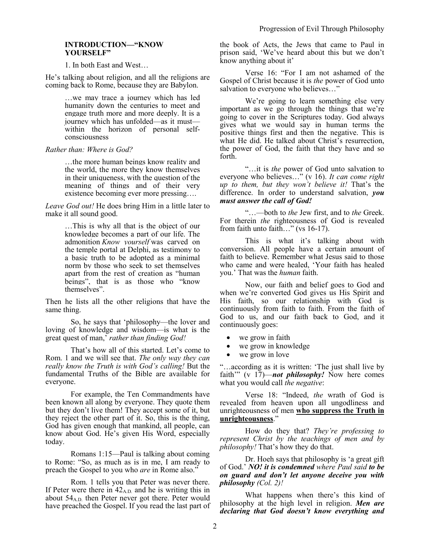## **INTRODUCTION—"KNOW YOURSELF"**

1. In both East and West…

He's talking about religion, and all the religions are coming back to Rome, because they are Babylon.

> …we may trace a journey which has led humanity down the centuries to meet and engage truth more and more deeply. It is a journey which has unfolded—as it must within the horizon of personal selfconsciousness

*Rather than: Where is God?*

…the more human beings know reality and the world, the more they know themselves in their uniqueness, with the question of the meaning of things and of their very existence becoming ever more pressing….

*Leave God out!* He does bring Him in a little later to make it all sound good.

> …This is why all that is the object of our knowledge becomes a part of our life. The admonition *Know yourself* was carved on the temple portal at Delphi, as testimony to a basic truth to be adopted as a minimal norm by those who seek to set themselves apart from the rest of creation as "human beings", that is as those who "know themselves".

Then he lists all the other religions that have the same thing.

So, he says that 'philosophy—the lover and loving of knowledge and wisdom—is what is the great quest of man,' *rather than finding God!*

That's how all of this started. Let's come to Rom. 1 and we will see that. *The only way they can really know the Truth is with God's calling!* But the fundamental Truths of the Bible are available for everyone.

For example, the Ten Commandments have been known all along by everyone. They quote them but they don't live them! They accept some of it, but they reject the other part of it. So, this is the thing, God has given enough that mankind, all people, can know about God. He's given His Word, especially today.

Romans 1:15—Paul is talking about coming to Rome: "So, as much as is in me, I am ready to preach the Gospel to you who *are* in Rome also."

Rom. 1 tells you that Peter was never there. If Peter were there in  $42_{A,D}$  and he is writing this in about  $54<sub>A.D.</sub>$  then Peter never got there. Peter would have preached the Gospel. If you read the last part of the book of Acts, the Jews that came to Paul in prison said, 'We've heard about this but we don't know anything about it'

Verse 16: "For I am not ashamed of the Gospel of Christ because it is *the* power of God unto salvation to everyone who believes..."

We're going to learn something else very important as we go through the things that we're going to cover in the Scriptures today. God always gives what we would say in human terms the positive things first and then the negative. This is what He did. He talked about Christ's resurrection, the power of God, the faith that they have and so forth.

"…it is *the* power of God unto salvation to everyone who believes…" (v 16). *It can come right up to them, but they won't believe it!* That's the difference. In order to understand salvation, *you must answer the call of God!* 

"…—both to *the* Jew first, and to *the* Greek. For therein *the* righteousness of God is revealed from faith unto faith..." (vs 16-17).

This is what it's talking about with conversion. All people have a certain amount of faith to believe. Remember what Jesus said to those who came and were healed, 'Your faith has healed you.' That was the *human* faith.

Now, our faith and belief goes to God and when we're converted God gives us His Spirit and His faith, so our relationship with God is continuously from faith to faith. From the faith of God to us, and our faith back to God, and it continuously goes:

- we grow in faith
- we grow in knowledge
- we grow in love

"…according as it is written: 'The just shall live by faith'" (v 17)—*not philosophy!* Now here comes what you would call *the negative*:

Verse 18: "Indeed, *the* wrath of God is revealed from heaven upon all ungodliness and unrighteousness of men **who suppress the Truth in unrighteousness**."

How do they that? *They're professing to represent Christ by the teachings of men and by philosophy!* That's how they do that.

Dr. Hoeh says that philosophy is 'a great gift of God.' *NO! it is condemned where Paul said to be on guard and don't let anyone deceive you with philosophy (Col. 2)!*

What happens when there's this kind of philosophy at the high level in religion. *Men are declaring that God doesn't know everything and*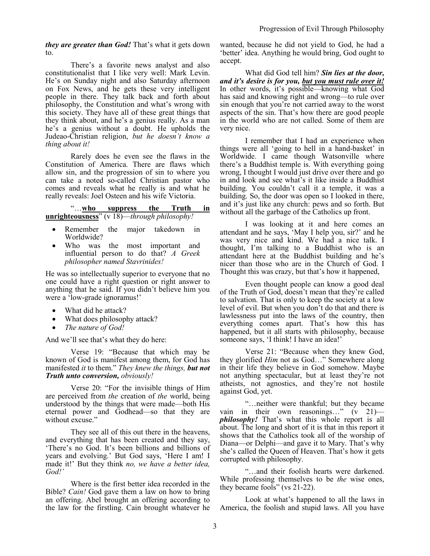*they are greater than God!* That's what it gets down to.

There's a favorite news analyst and also constitutionalist that I like very well: Mark Levin. He's on Sunday night and also Saturday afternoon on Fox News, and he gets these very intelligent people in there. They talk back and forth about philosophy, the Constitution and what's wrong with this society. They have all of these great things that they think about, and he's a genius really. As a man he's a genius without a doubt. He upholds the Judeao-Christian religion, *but he doesn't know a thing about it!*

Rarely does he even see the flaws in the Constitution of America. There are flaws which allow sin, and the progression of sin to where you can take a noted so-called Christian pastor who comes and reveals what he really is and what he really reveals: Joel Osteen and his wife Victoria.

| "who                                                | suppress | the | - Truth | in |
|-----------------------------------------------------|----------|-----|---------|----|
| <b>unrighteousness</b> " (v 18)—through philosophy! |          |     |         |    |

- Remember the major takedown in Worldwide?
- Who was the most important and influential person to do that? *A Greek philosopher named Stavrinides!*

He was so intellectually superior to everyone that no one could have a right question or right answer to anything that he said. If you didn't believe him you were a 'low-grade ignoramus!'

- What did he attack?
- What does philosophy attack?
- *The nature of God!*

And we'll see that's what they do here:

Verse 19: "Because that which may be known of God is manifest among them, for God has manifested *it* to them." *They knew the things, but not Truth unto conversion, obviously!*

Verse 20: "For the invisible things of Him are perceived from *the* creation of *the* world, being understood by the things that were made—both His eternal power and Godhead—so that they are without excuse."

They see all of this out there in the heavens, and everything that has been created and they say, 'There's no God. It's been billions and billions of years and evolving.' But God says, 'Here I am! I made it!' But they think *no, we have a better idea, God!'*

Where is the first better idea recorded in the Bible? *Cain!* God gave them a law on how to bring an offering. Abel brought an offering according to the law for the firstling. Cain brought whatever he wanted, because he did not yield to God, he had a 'better' idea. Anything he would bring, God ought to accept.

What did God tell him? *Sin lies at the door, and it's desire is for you, but you must rule over it!* In other words, it's possible—knowing what God has said and knowing right and wrong—to rule over sin enough that you're not carried away to the worst aspects of the sin. That's how there are good people in the world who are not called. Some of them are very nice.

I remember that I had an experience when things were all 'going to hell in a hand-basket' in Worldwide. I came though Watsonville where there's a Buddhist temple is. With everything going wrong, I thought I would just drive over there and go in and look and see what's it like inside a Buddhist building. You couldn't call it a temple, it was a building. So, the door was open so I looked in there, and it's just like any church: pews and so forth. But without all the garbage of the Catholics up front.

I was looking at it and here comes an attendant and he says, 'May I help you, sir?' and he was very nice and kind. We had a nice talk. I thought, I'm talking to a Buddhist who is an attendant here at the Buddhist building and he's nicer than those who are in the Church of God. I Thought this was crazy, but that's how it happened,

Even thought people can know a good deal of the Truth of God, doesn't mean that they're called to salvation. That is only to keep the society at a low level of evil. But when you don't do that and there is lawlessness put into the laws of the country, then everything comes apart. That's how this has happened, but it all starts with philosophy, because someone says, 'I think! I have an idea!'

Verse 21: "Because when they knew God, they glorified *Him* not as God…" Somewhere along in their life they believe in God somehow. Maybe not anything spectacular, but at least they're not atheists, not agnostics, and they're not hostile against God, yet.

"…neither were thankful; but they became vain in their own reasonings…" (v 21) *philosophy!* That's what this whole report is all about. The long and short of it is that in this report it shows that the Catholics took all of the worship of Diana—or Delphi—and gave it to Mary. That's why she's called the Queen of Heaven. That's how it gets corrupted with philosophy.

"…and their foolish hearts were darkened. While professing themselves to be *the* wise ones, they became fools" (vs 21-22).

Look at what's happened to all the laws in America, the foolish and stupid laws. All you have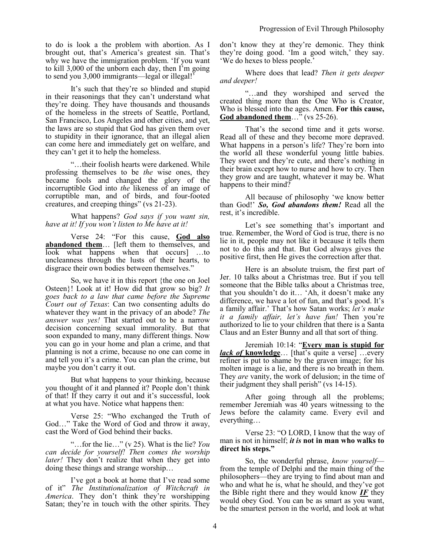to do is look a the problem with abortion. As I brought out, that's America's greatest sin. That's why we have the immigration problem. 'If you want to kill 3,000 of the unborn each day, then I'm going to send you 3,000 immigrants—legal or illegal!'

It's such that they're so blinded and stupid in their reasonings that they can't understand what they're doing. They have thousands and thousands of the homeless in the streets of Seattle, Portland, San Francisco, Los Angeles and other cities, and yet, the laws are so stupid that God has given them over to stupidity in their ignorance, that an illegal alien can come here and immediately get on welfare, and they can't get it to help the homeless.

"…their foolish hearts were darkened. While professing themselves to be *the* wise ones, they became fools and changed the glory of the incorruptible God into *the* likeness of an image of corruptible man, and of birds, and four-footed creatures, and creeping things" (vs 21-23).

What happens? *God says if you want sin, have at it! If you won't listen to Me have at it!*

Verse 24: "For this cause, **God also abandoned them**… [left them to themselves, and look what happens when that occurs] …to uncleanness through the lusts of their hearts, to disgrace their own bodies between themselves."

So, we have it in this report {the one on Joel Osteen}! Look at it! How did that grow so big? *It goes back to a law that came before the Supreme Court out of Texas*: Can two consenting adults do whatever they want in the privacy of an abode? *The answer was yes!* That started out to be a narrow decision concerning sexual immorality. But that soon expanded to many, many different things. Now you can go in your home and plan a crime, and that planning is not a crime, because no one can come in and tell you it's a crime. You can plan the crime, but maybe you don't carry it out.

But what happens to your thinking, because you thought of it and planned it? People don't think of that! If they carry it out and it's successful, look at what you have. Notice what happens then:

Verse 25: "Who exchanged the Truth of God…" Take the Word of God and throw it away, cast the Word of God behind their backs.

"…for the lie…" (v 25). What is the lie? *You can decide for yourself! Then comes the worship later!* They don't realize that when they get into doing these things and strange worship…

I've got a book at home that I've read some of it" *The Institutionalization of Witchcraft in America*. They don't think they're worshipping Satan; they're in touch with the other spirits. They don't know they at they're demonic. They think they're doing good. 'Im a good witch,' they say. 'We do hexes to bless people.'

Where does that lead? *Then it gets deeper and deeper!* 

"…and they worshiped and served the created thing more than the One Who is Creator, Who is blessed into the ages. Amen. **For this cause,** God abandoned them...<sup>5</sup> (vs 25-26).

That's the second time and it gets worse. Read all of these and they become more depraved. What happens in a person's life? They're born into the world all these wonderful young little babies. They sweet and they're cute, and there's nothing in their brain except how to nurse and how to cry. Then they grow and are taught, whatever it may be. What happens to their mind?

All because of philosophy 'we know better than God!' *So, God abandons them!* Read all the rest, it's incredible.

Let's see something that's important and true. Remember, the Word of God is true, there is no lie in it, people may not like it because it tells them not to do this and that. But God always gives the positive first, then He gives the correction after that.

Here is an absolute truism, the first part of Jer. 10 talks about a Christmas tree. But if you tell someone that the Bible talks about a Christmas tree, that you shouldn't do it… 'Ah, it doesn't make any difference, we have a lot of fun, and that's good. It's a family affair.' That's how Satan works; *let's make it a family affair, let's have fun!* Then you're authorized to lie to your children that there is a Santa Claus and an Ester Bunny and all that sort of thing.

Jeremiah 10:14: "**Every man is stupid for**  *lack of* **knowledge**… [that's quite a verse] …every refiner is put to shame by the graven image; for his molten image is a lie, and there is no breath in them. They *are* vanity, the work of delusion; in the time of their judgment they shall perish" (vs 14-15).

After going through all the problems; remember Jeremiah was 40 years witnessing to the Jews before the calamity came. Every evil and everything…

Verse 23: "O LORD, I know that the way of man is not in himself; *it is* **not in man who walks to direct his steps."**

So, the wonderful phrase, *know yourself* from the temple of Delphi and the main thing of the philosophers—they are trying to find about man and who and what he is, what he should, and they've got the Bible right there and they would know *IF* they would obey God. You can be as smart as you want, be the smartest person in the world, and look at what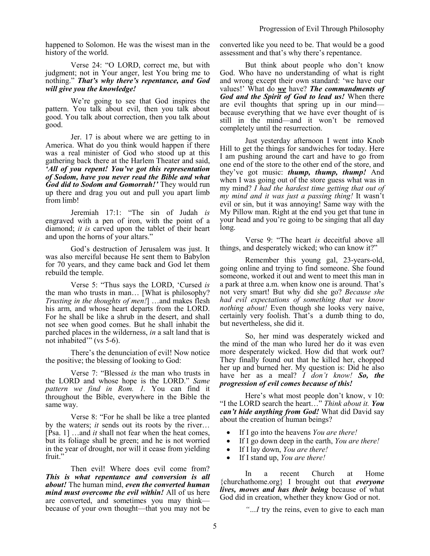happened to Solomon. He was the wisest man in the history of the world.

Verse 24: "O LORD, correct me, but with judgment; not in Your anger, lest You bring me to nothing." *That's why there's repentance, and God will give you the knowledge!*

We're going to see that God inspires the pattern. You talk about evil, then you talk about good. You talk about correction, then you talk about good.

Jer. 17 is about where we are getting to in America. What do you think would happen if there was a real minister of God who stood up at this gathering back there at the Harlem Theater and said, *'All of you repent! You've got this representation of Sodom, have you never read the Bible and what God did to Sodom and Gomorrah!'* They would run up there and drag you out and pull you apart limb from limb!

Jeremiah 17:1: "The sin of Judah *is* engraved with a pen of iron, with the point of a diamond; *it is* carved upon the tablet of their heart and upon the horns of your altars."

God's destruction of Jerusalem was just. It was also merciful because He sent them to Babylon for 70 years, and they came back and God let them rebuild the temple.

Verse 5: "Thus says the LORD, 'Cursed *is* the man who trusts in man… [What is philosophy? *Trusting in the thoughts of men!*] …and makes flesh his arm, and whose heart departs from the LORD. For he shall be like a shrub in the desert, and shall not see when good comes. But he shall inhabit the parched places in the wilderness, *in* a salt land that is not inhabited'" (vs 5-6).

There's the denunciation of evil! Now notice the positive; the blessing of looking to God:

Verse 7: "Blessed *is* the man who trusts in the LORD and whose hope is the LORD." *Same pattern we find in Rom. 1.* You can find it throughout the Bible, everywhere in the Bible the same way.

Verse 8: "For he shall be like a tree planted by the waters; *it* sends out its roots by the river… [Psa. 1] …and *it* shall not fear when the heat comes, but its foliage shall be green; and he is not worried in the year of drought, nor will it cease from yielding fruit."

Then evil! Where does evil come from? *This is what repentance and conversion is all about!* The human mind, *even the converted human mind must overcome the evil within!* All of us here are converted, and sometimes you may think because of your own thought—that you may not be converted like you need to be. That would be a good assessment and that's why there's repentance.

But think about people who don't know God. Who have no understanding of what is right and wrong except their own standard: 'we have our values!' What do *we* have? *The commandments of God and the Spirit of God to lead us!* When there are evil thoughts that spring up in our mind because everything that we have ever thought of is still in the mind—and it won't be removed completely until the resurrection.

Just yesterday afternoon I went into Knob Hill to get the things for sandwiches for today. Here I am pushing around the cart and have to go from one end of the store to the other end of the store, and they've got music: *thump, thump, thump!* And when I was going out of the store guess what was in my mind? *I had the hardest time getting that out of my mind and it was just a passing thing!* It wasn't evil or sin, but it was annoying! Same way with the My Pillow man. Right at the end you get that tune in your head and you're going to be singing that all day long.

Verse 9: "The heart *is* deceitful above all things, and desperately wicked; who can know it?"

Remember this young gal, 23-years-old, going online and trying to find someone. She found someone, worked it out and went to meet this man in a park at three a.m. when know one is around. That's not very smart! But why did she go? *Because she had evil expectations of something that we know nothing about!* Even though she looks very naive, certainly very foolish. That's a dumb thing to do, but nevertheless, she did it.

So, her mind was desperately wicked and the mind of the man who lured her do it was even more desperately wicked. How did that work out? They finally found out that he killed her, chopped her up and burned her. My question is: Did he also have her as a meal? *I don't know! So, the progression of evil comes because of this!* 

Here's what most people don't know, v 10: "I the LORD search the heart…" *Think about it. You can't hide anything from God!* What did David say about the creation of human beings?

- If I go into the heavens *You are there!*
- If I go down deep in the earth, *You are there!*
- If I lay down, *You are there!*
- If I stand up, *You are there!*

In a recent Church at Home {churchathome.org} I brought out that *everyone lives, moves and has their being* because of what God did in creation, whether they know God or not.

*"…I* try the reins, even to give to each man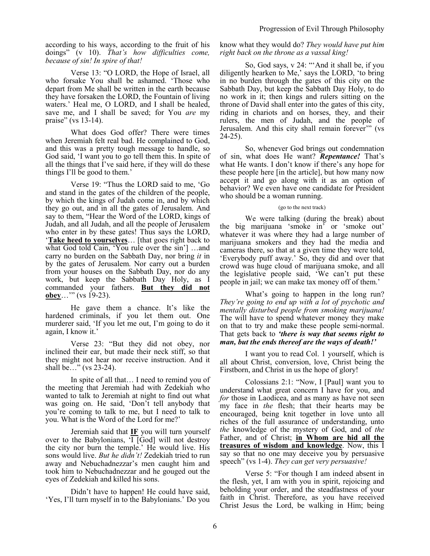according to his ways, according to the fruit of his doings" (v 10). *That's how difficulties come, because of sin! In spire of that!*

Verse 13: "O LORD, the Hope of Israel, all who forsake You shall be ashamed. 'Those who depart from Me shall be written in the earth because they have forsaken the LORD, the Fountain of living waters.' Heal me, O LORD, and I shall be healed, save me, and I shall be saved; for You *are* my praise" (vs 13-14).

What does God offer? There were times when Jeremiah felt real bad. He complained to God, and this was a pretty tough message to handle, so God said, 'I want you to go tell them this. In spite of all the things that I've said here, if they will do these things I'll be good to them.'

Verse 19: "Thus the LORD said to me, 'Go and stand in the gates of the children of the people, by which the kings of Judah come in, and by which they go out, and in all the gates of Jerusalem. And say to them, "Hear the Word of the LORD, kings of Judah, and all Judah, and all the people of Jerusalem who enter in by these gates! Thus says the LORD, '**Take heed to yourselves**… [that goes right back to what God told Cain, 'You rule over the sin'] …and carry no burden on the Sabbath Day, nor bring *it* in by the gates of Jerusalem. Nor carry out a burden from your houses on the Sabbath Day, nor do any work, but keep the Sabbath Day Holy, as I commanded your fathers. **But they did not obey**…'" (vs 19-23).

He gave them a chance. It's like the hardened criminals, if you let them out. One murderer said, 'If you let me out, I'm going to do it again, I know it.'

Verse 23: "But they did not obey, nor inclined their ear, but made their neck stiff, so that they might not hear nor receive instruction. And it shall be…" (vs 23-24).

In spite of all that… I need to remind you of the meeting that Jeremiah had with Zedekiah who wanted to talk to Jeremiah at night to find out what was going on. He said, 'Don't tell anybody that you're coming to talk to me, but I need to talk to you. What is the Word of the Lord for me?'

Jeremiah said that **IF** you will turn yourself over to the Babylonians,  $\overline{1}$  [God] will not destroy the city nor burn the temple.' He would live. His sons would live. *But he didn't!* Zedekiah tried to run away and Nebuchadnezzar's men caught him and took him to Nebuchadnezzar and he gouged out the eyes of Zedekiah and killed his sons.

Didn't have to happen! He could have said, 'Yes, I'll turn myself in to the Babylonians.' Do you

## know what they would do? *They would have put him right back on the throne as a vassal king!*

So, God says, v 24: "'And it shall be, if you diligently hearken to Me,' says the LORD, 'to bring in no burden through the gates of this city on the Sabbath Day, but keep the Sabbath Day Holy, to do no work in it; then kings and rulers sitting on the throne of David shall enter into the gates of this city, riding in chariots and on horses, they, and their rulers, the men of Judah, and the people of Jerusalem. And this city shall remain forever'" (vs 24-25).

So, whenever God brings out condemnation of sin, what does He want? *Repentance!* That's what He wants. I don't know if there's any hope for these people here [in the article], but how many now accept it and go along with it as an option of behavior? We even have one candidate for President who should be a woman running.

#### (go to the next track)

We were talking (during the break) about the big marijuana 'smoke in' or 'smoke out' whatever it was where they had a large number of marijuana smokers and they had the media and cameras there, so that at a given time they were told, 'Everybody puff away.' So, they did and over that crowd was huge cloud of marijuana smoke, and all the legislative people said, 'We can't put these people in jail; we can make tax money off of them.'

What's going to happen in the long run? *They're going to end up with a lot of psychotic and mentally disturbed people from smoking marijuana!*  The will have to spend whatever money they make on that to try and make these people semi-normal. That gets back to *'there is way that seems right to man, but the ends thereof are the ways of death!'*

I want you to read Col. 1 yourself, which is all about Christ, conversion, love, Christ being the Firstborn, and Christ in us the hope of glory!

Colossians 2:1: "Now, I [Paul] want you to understand what great concern I have for you, and *for* those in Laodicea, and as many as have not seen my face in *the* flesh; that their hearts may be encouraged, being knit together in love unto all riches of the full assurance of understanding, unto *the* knowledge of the mystery of God, and of *the* Father, and of Christ; **in Whom are hid all the treasures of wisdom and knowledge**. Now, this I say so that no one may deceive you by persuasive speech" (vs 1-4). *They can get very persuasive!* 

Verse 5: "For though I am indeed absent in the flesh, yet, I am with you in spirit, rejoicing and beholding your order, and the steadfastness of your faith in Christ. Therefore, as you have received Christ Jesus the Lord, be walking in Him; being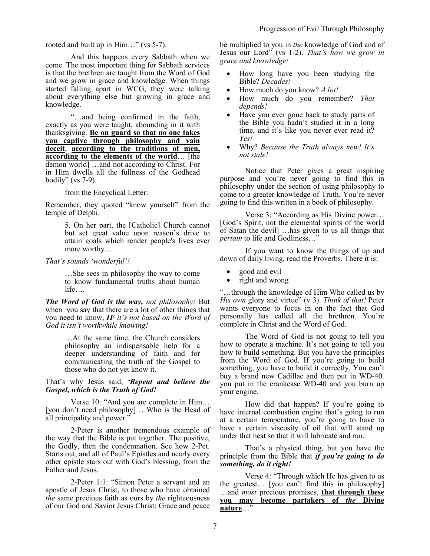rooted and built up in Him…" (vs 5-7).

And this happens every Sabbath when we come. The most important thing for Sabbath services is that the brethren are taught from the Word of God and we grow in grace and knowledge. When things started falling apart in WCG, they were talking about everything else but growing in grace and knowledge.

"…and being confirmed in the faith, exactly as you were taught, abounding in it with thanksgiving. **Be on guard so that no one takes you captive through philosophy and vain deceit**, **according to the traditions of men, according to the elements of the world**… [the demon world] …and not according to Christ. For in Him dwells all the fullness of the Godhead bodily" (vs 7-9).

from the Encyclical Letter:

Remember, they quoted "know yourself" from the temple of Delphi.

> 5. On her part, the [Catholic] Church cannot but set great value upon reason's drive to attain goals which render people's lives ever more worthy….

#### *That's sounds 'wonderful'!*

…She sees in philosophy the way to come to know fundamental truths about human life….

*The Word of God is the way, not philosophy!* But when you say that there are a lot of other things that you need to know, *IF it's not based on the Word of God it isn't worthwhile knowing!*

> …At the same time, the Church considers philosophy an indispensable help for a deeper understanding of faith and for communicating the truth of the Gospel to those who do not yet know it.

## That's why Jesus said, *'Repent and believe the Gospel, which is the Truth of God!*

Verse 10: "And you are complete in Him… [you don't need philosophy] …Who is the Head of all principality and power."

2-Peter is another tremendous example of the way that the Bible is put together. The positive, the Godly, then the condemnation. See how 2-Pet. Starts out, and all of Paul's Epistles and nearly every other epistle stars out with God's blessing, from the Father and Jesus.

2-Peter 1:1: "Simon Peter a servant and an apostle of Jesus Christ, to those who have obtained *the* same precious faith as ours by *the* righteousness of our God and Savior Jesus Christ: Grace and peace be multiplied to you in *the* knowledge of God and of Jesus our Lord" (vs 1-2). *That's how we grow in grace and knowledge!* 

- How long have you been studying the Bible? *Decades!*
- How much do you know? *A lot!*
- How much do you remember? *That depends!*
- Have you ever gone back to study parts of the Bible you hadn't studied it in a long time, and it's like you never ever read it? *Yes!*
- Why? *Because the Truth always new! It's not stale!*

Notice that Peter gives a great inspiring purpose and you're never going to find this in philosophy under the section of using philosophy to come to a greater knowledge of Truth. You're never going to find this written in a book of philosophy.

Verse 3: "According as His Divine power… [God's Spirit, not the elemental spirits of the world of Satan the devil] …has given to us all things that *pertain* to life and Godliness..."

If you want to know the things of up and down of daily living, read the Proverbs. There it is:

- good and evil
- right and wrong

"…through the knowledge of Him Who called us by *His own* glory and virtue" (v 3). *Think of that!* Peter wants everyone to focus in on the fact that God personally has called all the brethren. You're complete in Christ and the Word of God.

The Word of God is not going to tell you how to operate a machine. It's not going to tell you how to build something. But you have the principles from the Word of God. If you're going to build something, you have to build it correctly. You can't buy a brand new Cadillac and then put in WD-40. you put in the crankcase WD-40 and you burn up your engine.

How did that happen? If you're going to have internal combustion engine that's going to run at a certain temperature, you're going to have to have a certain viscosity of oil that will stand up under that heat so that it will lubricate and run.

That's a physical thing, but you have the principle from the Bible that *if you're going to do something, do it right!*

Verse 4: "Through which He has given to us the greatest… [you can't find this in philosophy] …and *most* precious promises, **that through these you may become partakers of** *the* **Divine nature**…"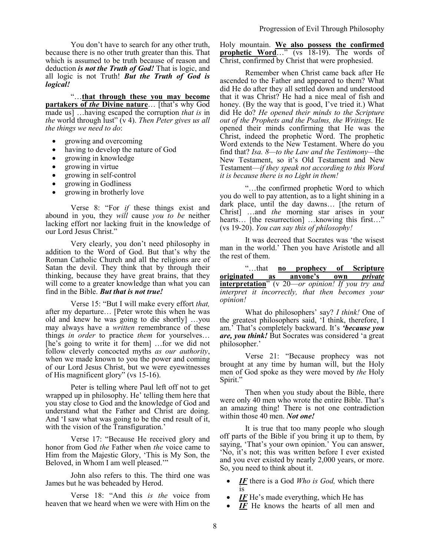You don't have to search for any other truth, because there is no other truth greater than this. That which is assumed to be truth because of reason and deduction *is not the Truth of God!* That is logic, and all logic is not Truth! *But the Truth of God is logical!*

"…**that through these you may become partakers of** *the* **Divine nature**… [that's why God made us] …having escaped the corruption *that is* in *the* world through lust" (v 4). *Then Peter gives us all the things we need to do*:

- growing and overcoming
- having to develop the nature of God
- growing in knowledge
- growing in virtue
- growing in self-control
- growing in Godliness
- growing in brotherly love

Verse 8: "For *if* these things exist and abound in you, they *will* cause *you to be* neither lacking effort nor lacking fruit in the knowledge of our Lord Jesus Christ."

Very clearly, you don't need philosophy in addition to the Word of God. But that's why the Roman Catholic Church and all the religions are of Satan the devil. They think that by through their thinking, because they have great brains, that they will come to a greater knowledge than what you can find in the Bible. *But that is not true!*

Verse 15: "But I will make every effort *that,*  after my departure… [Peter wrote this when he was old and knew he was going to die shortly] …you may always have a *written* remembrance of these things *in order* to practice *them* for yourselves… [he's going to write it for them] ...for we did not follow cleverly concocted myths *as our authority*, when we made known to you the power and coming of our Lord Jesus Christ, but we were eyewitnesses of His magnificent glory" (vs 15-16).

Peter is telling where Paul left off not to get wrapped up in philosophy. He' telling them here that you stay close to God and the knowledge of God and understand what the Father and Christ are doing. And 'I saw what was going to be the end result of it, with the vision of the Transfiguration.'

Verse 17: "Because He received glory and honor from God *the* Father when *the* voice came to Him from the Majestic Glory, 'This is My Son, the Beloved, in Whom I am well pleased.'"

John also refers to this. The third one was James but he was beheaded by Herod.

Verse 18: "And this *is the* voice from heaven that we heard when we were with Him on the Holy mountain. **We also possess the confirmed prophetic Word...**" (vs 18-19). The words of Christ, confirmed by Christ that were prophesied.

Remember when Christ came back after He ascended to the Father and appeared to them? What did He do after they all settled down and understood that it was Christ? He had a nice meal of fish and honey. (By the way that is good, I've tried it.) What did He do? *He opened their minds to the Scripture out of the Prophets and the Psalms, the Writings.* He opened their minds confirming that He was the Christ, indeed the prophetic Word. The prophetic Word extends to the New Testament. Where do you find that? *Isa. 8—to the Law and the Testimony—*the New Testament, so it's Old Testament and New Testament—*if they speak not according to this Word it is because there is no Light in them!*

"…the confirmed prophetic Word to which you do well to pay attention, as to a light shining in a dark place, until the day dawns… [the return of Christ] …and *the* morning star arises in your hearts... [the resurrection] ... knowing this first..." (vs 19-20). *You can say this of philosophy!*

It was decreed that Socrates was 'the wisest man in the world.' Then you have Aristotle and all the rest of them.

"…that **no prophecy of Scripture originated as anyone's own** *private*  **interpretation**" (v 20—*or opinion! If you try and interpret it incorrectly, that then becomes your opinion!*

What do philosophers' say? *I think!* One of the greatest philosophers said, 'I think, therefore, I am.' That's completely backward. It's *'because you are, you think!* But Socrates was considered 'a great philosopher.'

Verse 21: "Because prophecy was not brought at any time by human will, but the Holy men of God spoke as they were moved by *the* Holy Spirit."

Then when you study about the Bible, there were only 40 men who wrote the entire Bible. That's an amazing thing! There is not one contradiction within those 40 men. *Not one!*

It is true that too many people who slough off parts of the Bible if you bring it up to them, by saying, 'That's your own opinion.' You can answer, 'No, it's not; this was written before I ever existed and you ever existed by nearly 2,000 years, or more. So, you need to think about it.

- *IF* there is a God *Who is God,* which there is
- *IF* He's made everything, which He has
- *IF* He knows the hearts of all men and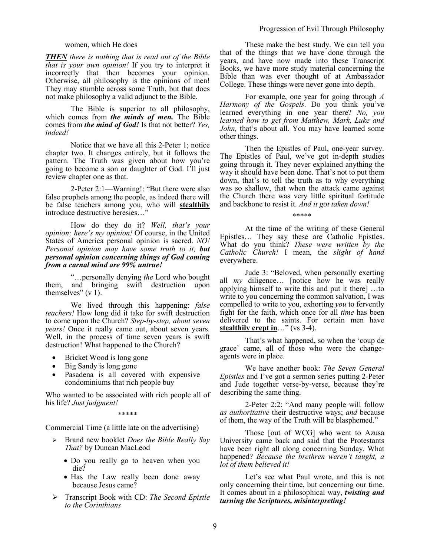#### women, which He does

*THEN there is nothing that is read out of the Bible that is your own opinion!* If you try to interpret it incorrectly that then becomes your opinion. Otherwise, all philosophy is the opinions of men! They may stumble across some Truth, but that does not make philosophy a valid adjunct to the Bible.

The Bible is superior to all philosophy, which comes from *the minds of men.* The Bible comes from *the mind of God!* Is that not better? *Yes, indeed!*

Notice that we have all this 2-Peter 1; notice chapter two. It changes entirely, but it follows the pattern. The Truth was given about how you're going to become a son or daughter of God. I'll just review chapter one as that.

2-Peter 2:1—Warning!: "But there were also false prophets among the people, as indeed there will be false teachers among you, who will **stealthily** introduce destructive heresies…"

How do they do it? *Well, that's your opinion; here's my opinion!* Of course, in the United States of America personal opinion is sacred. *NO! Personal opinion may have some truth to it, but personal opinion concerning things of God coming from a carnal mind are 99% untrue!*

"…personally denying *the* Lord who bought them, and bringing swift destruction upon themselves"  $(v 1)$ .

We lived through this happening: *false teachers!* How long did it take for swift destruction to come upon the Church? *Step-by-step, about seven years!* Once it really came out, about seven years. Well, in the process of time seven years is swift destruction! What happened to the Church?

- Bricket Wood is long gone
- Big Sandy is long gone
- Pasadena is all covered with expensive condominiums that rich people buy

Who wanted to be associated with rich people all of his life? *Just judgment!*

\*\*\*\*\*

Commercial Time (a little late on the advertising)

- Brand new booklet *Does the Bible Really Say That?* by Duncan MacLeod
	- Do you really go to heaven when you die?
	- Has the Law really been done away because Jesus came?
- Transcript Book with CD: *The Second Epistle to the Corinthians*

These make the best study. We can tell you that of the things that we have done through the years, and have now made into these Transcript Books, we have more study material concerning the Bible than was ever thought of at Ambassador College. These things were never gone into depth.

For example, one year for going through *A Harmony of the Gospels*. Do you think you've learned everything in one year there? *No, you learned how to get from Matthew, Mark, Luke and John,* that's about all. You may have learned some other things.

Then the Epistles of Paul, one-year survey. The Epistles of Paul, we've got in-depth studies going through it. They never explained anything the way it should have been done. That's not to put them down, that's to tell the truth as to why everything was so shallow, that when the attack came against the Church there was very little spiritual fortitude and backbone to resist it. *And it got taken down!*

\*\*\*\*\*

At the time of the writing of these General Epistles… They say these are Catholic Epistles. What do you think? *These were written by the Catholic Church!* I mean, the *slight of hand* everywhere.

Jude 3: "Beloved, when personally exerting all *my* diligence… [notice how he was really applying himself to write this and put it there] …to write to you concerning the common salvation, I was compelled to write to you, exhorting *you* to fervently fight for the faith, which once for all *time* has been delivered to the saints. For certain men have **stealthily crept in**…" (vs 3-4).

That's what happened, so when the 'coup de grace' came, all of those who were the changeagents were in place.

We have another book: *The Seven General Epistles* and I've got a sermon series putting 2-Peter and Jude together verse-by-verse, because they're describing the same thing.

2-Peter 2:2: "And many people will follow *as authoritative* their destructive ways; *and* because of them, the way of the Truth will be blasphemed."

Those [out of WCG] who went to Azusa University came back and said that the Protestants have been right all along concerning Sunday. What happened? *Because the brethren weren't taught, a lot of them believed it!*

Let's see what Paul wrote, and this is not only concerning their time, but concerning our time. It comes about in a philosophical way, *twisting and turning the Scriptures, misinterpreting!*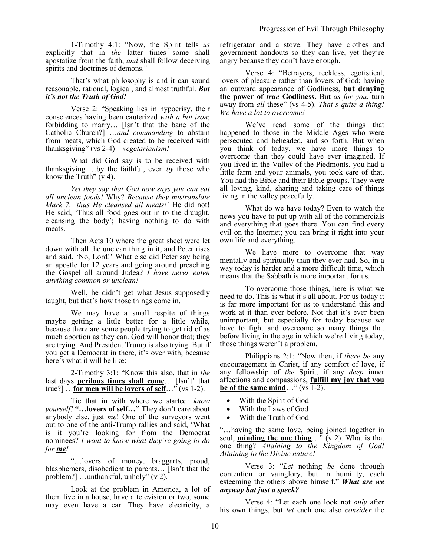1-Timothy 4:1: "Now, the Spirit tells *us* explicitly that in *the* latter times some shall apostatize from the faith, *and* shall follow deceiving spirits and doctrines of demons."

That's what philosophy is and it can sound reasonable, rational, logical, and almost truthful. *But it's not the Truth of God!*

Verse 2: "Speaking lies in hypocrisy, their consciences having been cauterized *with a hot iron*; forbidding to marry… [Isn't that the bane of the Catholic Church?] …*and commanding* to abstain from meats, which God created to be received with thanksgiving" (vs 2-4)—*vegetarianism!*

What did God say is to be received with thanksgiving …by the faithful, even *by* those who know the Truth"  $(v 4)$ .

*Yet they say that God now says you can eat all unclean foods!* Why? *Because they mistranslate Mark 7, 'thus He cleansed all meats!'* He did not! He said, 'Thus all food goes out in to the draught, cleansing the body'; having nothing to do with meats.

Then Acts 10 where the great sheet were let down with all the unclean thing in it, and Peter rises and said, 'No, Lord!' What else did Peter say being an apostle for 12 years and going around preaching the Gospel all around Judea? *I have never eaten anything common or unclean!*

Well, he didn't get what Jesus supposedly taught, but that's how those things come in.

We may have a small respite of things maybe getting a little better for a little while, because there are some people trying to get rid of as much abortion as they can. God will honor that; they are trying. And President Trump is also trying. But if you get a Democrat in there, it's over with, because here's what it will be like:

2-Timothy 3:1: "Know this also, that in *the* last days **perilous times shall come**… [Isn't' that true?] …**for men will be lovers of self**…" (vs 1-2).

Tie that in with where we started: *know yourself!* **"…lovers of self…"** They don't care about anybody else, just *me*! One of the surveyors went out to one of the anti-Trump rallies and said, 'What is it you're looking for from the Democrat nominees? *I want to know what they're going to do for me!*

"…lovers of money, braggarts, proud, blasphemers, disobedient to parents… [Isn't that the problem?] …unthankful, unholy" (v 2).

Look at the problem in America, a lot of them live in a house, have a television or two, some may even have a car. They have electricity, a refrigerator and a stove. They have clothes and government handouts so they can live, yet they're angry because they don't have enough.

Verse 4: "Betrayers, reckless, egotistical, lovers of pleasure rather than lovers of God; having an outward appearance of Godliness, **but denying the power of** *true* **Godliness.** But *as for you*, turn away from *all* these" (vs 4-5). *That's quite a thing! We have a lot to overcome!*

We've read some of the things that happened to those in the Middle Ages who were persecuted and beheaded, and so forth. But when you think of today, we have more things to overcome than they could have ever imagined. If you lived in the Valley of the Piedmonts, you had a little farm and your animals, you took care of that. You had the Bible and their Bible groups. They were all loving, kind, sharing and taking care of things living in the valley peacefully.

What do we have today? Even to watch the news you have to put up with all of the commercials and everything that goes there. You can find every evil on the Internet; you can bring it right into your own life and everything.

We have more to overcome that way mentally and spiritually than they ever had. So, in a way today is harder and a more difficult time, which means that the Sabbath is more important for us.

To overcome those things, here is what we need to do. This is what it's all about. For us today it is far more important for us to understand this and work at it than ever before. Not that it's ever been unimportant, but especially for today because we have to fight and overcome so many things that before living in the age in which we're living today, those things weren't a problem.

Philippians 2:1: "Now then, if *there be* any encouragement in Christ, if any comfort of love, if any fellowship of *the* Spirit, if any *deep* inner affections and compassions, **fulfill my joy that you be of the same mind**…" (vs  $\overline{1-2}$ ).

- With the Spirit of God
- With the Laws of God
- With the Truth of God

"…having the same love, being joined together in soul, **minding the one thing**…" (v 2). What is that one thing? *Attaining to the Kingdom of God! Attaining to the Divine nature!*

Verse 3: "*Let* nothing *be* done through contention or vainglory, but in humility, each esteeming the others above himself." *What are we anyway but just a speck?* 

Verse 4: "Let each one look not *only* after his own things, but *let* each one also *consider* the